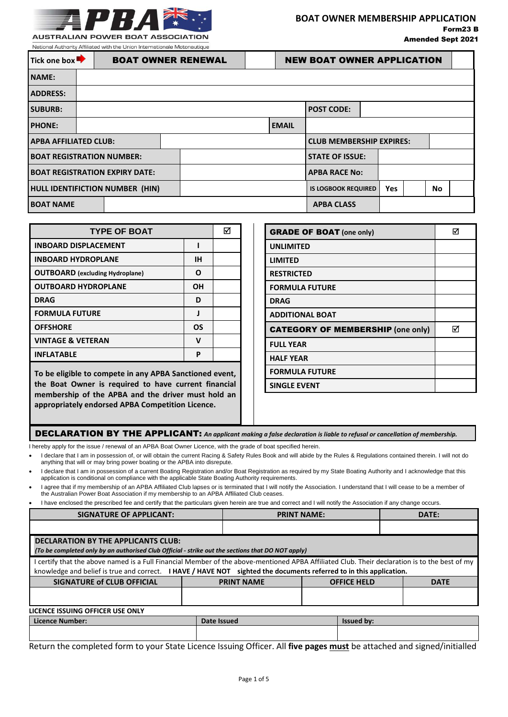

National Authority Affiliated with the Union Internationale Motonautiqu

| Tick one box<br><b>BOAT OWNER RENEWAL</b> |  |  |  |  | <b>NEW BOAT OWNER APPLICATION</b> |                      |                                 |  |    |  |  |  |
|-------------------------------------------|--|--|--|--|-----------------------------------|----------------------|---------------------------------|--|----|--|--|--|
| <b>NAME:</b>                              |  |  |  |  |                                   |                      |                                 |  |    |  |  |  |
| <b>ADDRESS:</b>                           |  |  |  |  |                                   |                      |                                 |  |    |  |  |  |
| <b>SUBURB:</b>                            |  |  |  |  | <b>POST CODE:</b>                 |                      |                                 |  |    |  |  |  |
| <b>PHONE:</b>                             |  |  |  |  |                                   | <b>EMAIL</b>         |                                 |  |    |  |  |  |
| <b>APBA AFFILIATED CLUB:</b>              |  |  |  |  |                                   |                      | <b>CLUB MEMBERSHIP EXPIRES:</b> |  |    |  |  |  |
| <b>BOAT REGISTRATION NUMBER:</b>          |  |  |  |  |                                   |                      | <b>STATE OF ISSUE:</b>          |  |    |  |  |  |
| <b>BOAT REGISTRATION EXPIRY DATE:</b>     |  |  |  |  |                                   | <b>APBA RACE No:</b> |                                 |  |    |  |  |  |
| <b>HULL IDENTIFICTION NUMBER (HIN)</b>    |  |  |  |  | <b>IS LOGBOOK REQUIRED</b>        |                      | Yes                             |  | No |  |  |  |
| <b>BOAT NAME</b>                          |  |  |  |  |                                   | <b>APBA CLASS</b>    |                                 |  |    |  |  |  |

| <b>TYPE OF BOAT</b>                    |    | lV |
|----------------------------------------|----|----|
| <b>INBOARD DISPLACEMENT</b>            |    |    |
| <b>INBOARD HYDROPLANE</b>              | IН |    |
| <b>OUTBOARD</b> (excluding Hydroplane) | O  |    |
| <b>OUTBOARD HYDROPLANE</b>             | ΟH |    |
| <b>DRAG</b>                            | ח  |    |
| <b>FORMULA FUTURE</b>                  |    |    |
| <b>OFFSHORE</b>                        | OS |    |
| <b>VINTAGE &amp; VETERAN</b>           | ν  |    |
| <b>INFLATABLE</b>                      | р  |    |
|                                        |    |    |

**To be eligible to compete in any APBA Sanctioned event, the Boat Owner is required to have current financial membership of the APBA and the driver must hold an appropriately endorsed APBA Competition Licence.**

| <b>GRADE OF BOAT (one only)</b>          | 反 |
|------------------------------------------|---|
| <b>UNLIMITED</b>                         |   |
| <b>LIMITED</b>                           |   |
| <b>RESTRICTED</b>                        |   |
| <b>FORMULA FUTURE</b>                    |   |
| <b>DRAG</b>                              |   |
| <b>ADDITIONAL BOAT</b>                   |   |
| <b>CATEGORY OF MEMBERSHIP (one only)</b> | М |
| <b>FULL YEAR</b>                         |   |
| <b>HALF YEAR</b>                         |   |
| <b>FORMULA FUTURE</b>                    |   |
| <b>SINGLE EVENT</b>                      |   |

DECLARATION BY THE APPLICANT: *An applicant making a false declaration is liable to refusal or cancellation of membership.*

I hereby apply for the issue / renewal of an APBA Boat Owner Licence, with the grade of boat specified herein.

I declare that I am in possession of, or will obtain the current Racing & Safety Rules Book and will abide by the Rules & Regulations contained therein. I will not do anything that will or may bring power boating or the APBA into disrepute.

I declare that I am in possession of a current Boating Registration and/or Boat Registration as required by my State Boating Authority and I acknowledge that this application is conditional on compliance with the applicable State Boating Authority requirements.

 I agree that if my membership of an APBA Affiliated Club lapses or is terminated that I will notify the Association. I understand that I will cease to be a member of the Australian Power Boat Association if my membership to an APBA Affiliated Club ceases.

I have enclosed the prescribed fee and certify that the particulars given herein are true and correct and I will notify the Association if any change occurs.

| <b>SIGNATURE OF APPLICANT:</b>                                                                                                                                                                                                                                    | <b>PRINT NAME:</b> |                                         |  | DATE:             |             |  |  |
|-------------------------------------------------------------------------------------------------------------------------------------------------------------------------------------------------------------------------------------------------------------------|--------------------|-----------------------------------------|--|-------------------|-------------|--|--|
|                                                                                                                                                                                                                                                                   |                    |                                         |  |                   |             |  |  |
| <b>DECLARATION BY THE APPLICANTS CLUB:</b><br>(To be completed only by an authorised Club Official - strike out the sections that DO NOT apply)                                                                                                                   |                    |                                         |  |                   |             |  |  |
| certify that the above named is a Full Financial Member of the above-mentioned APBA Affiliated Club. Their declaration is to the best of my<br>knowledge and belief is true and correct. I HAVE / HAVE NOT sighted the documents referred to in this application. |                    |                                         |  |                   |             |  |  |
| <b>SIGNATURE of CLUB OFFICIAL</b>                                                                                                                                                                                                                                 |                    | <b>PRINT NAME</b><br><b>OFFICE HELD</b> |  |                   | <b>DATE</b> |  |  |
|                                                                                                                                                                                                                                                                   |                    |                                         |  |                   |             |  |  |
| LICENCE ISSUING OFFICER USE ONLY                                                                                                                                                                                                                                  |                    |                                         |  |                   |             |  |  |
| <b>Licence Number:</b>                                                                                                                                                                                                                                            |                    | Date Issued                             |  | <b>Issued by:</b> |             |  |  |

Return the completed form to your State Licence Issuing Officer. All **five pages must** be attached and signed/initialled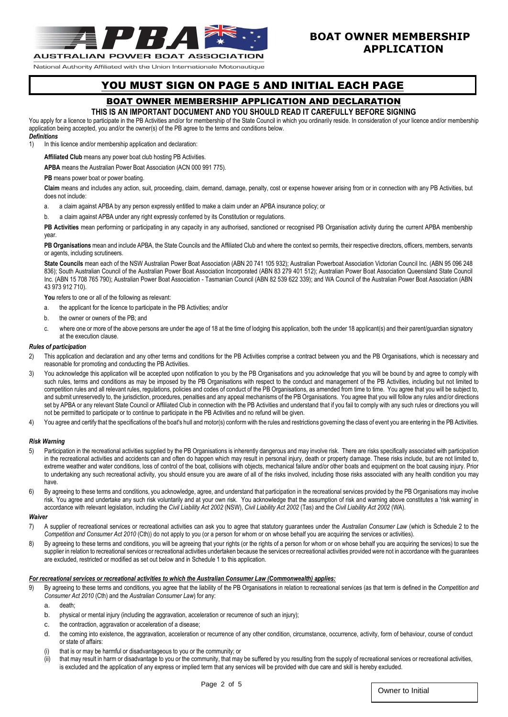

### **BOAT OWNER MEMBERSHIP APPLICATION**

National Authority Affiliated with the Union Internationale Motonautique

## YOU MUST SIGN ON PAGE 5 AND INITIAL EACH PAGE

### BOAT OWNER MEMBERSHIP APPLICATION AND DECLARATION

#### **THIS IS AN IMPORTANT DOCUMENT AND YOU SHOULD READ IT CAREFULLY BEFORE SIGNING**

You apply for a licence to participate in the PB Activities and/or for membership of the State Council in which you ordinarily reside. In consideration of your licence and/or membership application being accepted, you and/or the owner(s) of the PB agree to the terms and conditions below.

#### *Definitions*

1) In this licence and/or membership application and declaration:

**Affiliated Club** means any power boat club hosting PB Activities.

**APBA** means the Australian Power Boat Association (ACN 000 991 775).

#### **PB** means power boat or power boating.

**Claim** means and includes any action, suit, proceeding, claim, demand, damage, penalty, cost or expense however arising from or in connection with any PB Activities, but does not include:

- a. a claim against APBA by any person expressly entitled to make a claim under an APBA insurance policy; or
- b. a claim against APBA under any right expressly conferred by its Constitution or regulations.

PB Activities mean performing or participating in any capacity in any authorised, sanctioned or recognised PB Organisation activity during the current APBA membership year.

PB Organisations mean and include APBA, the State Councils and the Affiliated Club and where the context so permits, their respective directors, officers, members, servants or agents, including scrutineers.

**State Councils** mean each of the NSW Australian Power Boat Association (ABN 20 741 105 932); Australian Powerboat Association Victorian Council Inc. (ABN 95 096 248 836); South Australian Council of the Australian Power Boat Association Incorporated (ABN 83 279 401 512); Australian Power Boat Association Queensland State Council Inc. (ABN 15 708 765 790); Australian Power Boat Association - Tasmanian Council (ABN 82 539 622 339); and WA Council of the Australian Power Boat Association (ABN 43 973 912 710).

**You** refers to one or all of the following as relevant:

- a. the applicant for the licence to participate in the PB Activities; and/or
- b. the owner or owners of the PB; and
- c. where one or more of the above persons are under the age of 18 at the time of lodging this application, both the under 18 applicant(s) and their parent/guardian signatory at the execution clause.

#### *Rules of participation*

- 2) This application and declaration and any other terms and conditions for the PB Activities comprise a contract between you and the PB Organisations, which is necessary and reasonable for promoting and conducting the PB Activities.
- 3) You acknowledge this application will be accepted upon notification to you by the PB Organisations and you acknowledge that you will be bound by and agree to comply with such rules, terms and conditions as may be imposed by the PB Organisations with respect to the conduct and management of the PB Activities, including but not limited to competition rules and all relevant rules, regulations, policies and codes of conduct of the PB Organisations, as amended from time to time. You agree that you will be subject to, and submit unreservedly to, the jurisdiction, procedures, penalties and any appeal mechanisms of the PB Organisations. You agree that you will follow any rules and/or directions set by APBA or any relevant State Council or Affiliated Club in connection with the PB Activities and understand that if you fail to comply with any such rules or directions you will not be permitted to participate or to continue to participate in the PB Activities and no refund will be given.
- 4) You agree and certify that the specifications of the boat's hull and motor(s) conform with the rules and restrictions governing the class of event you are entering in the PB Activities.

#### *Risk Warning*

- 5) Participation in the recreational activities supplied by the PB Organisations is inherently dangerous and may involve risk. There are risks specifically associated with participation in the recreational activities and accidents can and often do happen which may result in personal injury, death or property damage. These risks include, but are not limited to, extreme weather and water conditions, loss of control of the boat, collisions with objects, mechanical failure and/or other boats and equipment on the boat causing injury. Prior to undertaking any such recreational activity, you should ensure you are aware of all of the risks involved, including those risks associated with any health condition you may have.
- 6) By agreeing to these terms and conditions, you acknowledge, agree, and understand that participation in the recreational services provided by the PB Organisations may involve risk. You agree and undertake any such risk voluntarily and at your own risk. You acknowledge that the assumption of risk and warning above constitutes a 'risk warning' in accordance with relevant legislation, including the *Civil Liability Act 2002* (NSW), *Civil Liability Act 2002* (Tas) and the *Civil Liability Act 2002* (WA).

#### *Waiver*

- 7) A supplier of recreational services or recreational activities can ask you to agree that statutory guarantees under the *Australian Consumer Law* (which is Schedule 2 to the *Competition and Consumer Act 2010* (Cth)) do not apply to you (or a person for whom or on whose behalf you are acquiring the services or activities).
- 8) By agreeing to these terms and conditions, you will be agreeing that your rights (or the rights of a person for whom or on whose behalf you are acquiring the services) to sue the supplier in relation to recreational services or recreational activities undertaken because the services or recreational activities provided were not in accordance with the guarantees are excluded, restricted or modified as set out below and in Schedule 1 to this application.

#### *For recreational services or recreational activities to which the Australian Consumer Law (Commonwealth) applies:*

- 9) By agreeing to these terms and conditions, you agree that the liability of the PB Organisations in relation to recreational services (as that term is defined in the *Competition and Consumer Act 2010* (Cth) and the *Australian Consumer Law*) for any:
	- a. death;
	- b. physical or mental injury (including the aggravation, acceleration or recurrence of such an injury);
	- c. the contraction, aggravation or acceleration of a disease;
	- d. the coming into existence, the aggravation, acceleration or recurrence of any other condition, circumstance, occurrence, activity, form of behaviour, course of conduct or state of affairs:
	- (i) that is or may be harmful or disadvantageous to you or the community; or
	- (ii) that may result in harm or disadvantage to you or the community, that may be suffered by you resulting from the supply of recreational services or recreational activities, is excluded and the application of any express or implied term that any services will be provided with due care and skill is hereby excluded.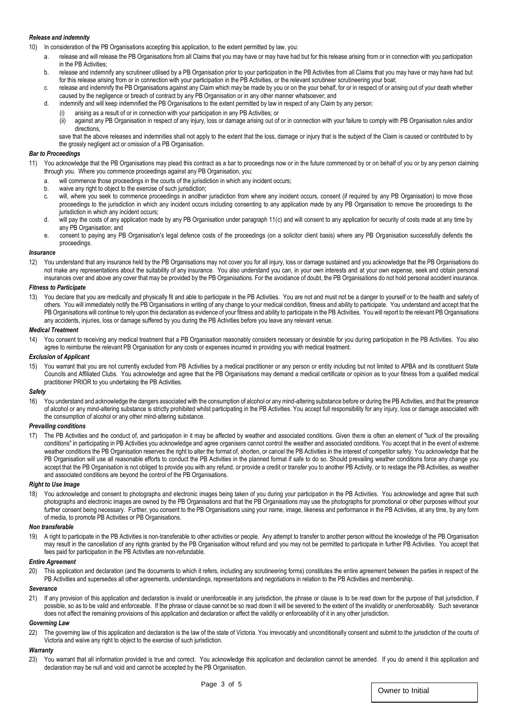#### *Release and indemnity*

10) In consideration of the PB Organisations accepting this application, to the extent permitted by law, you:

- a. release and will release the PB Organisations from all Claims that you may have or may have had but for this release arising from or in connection with you participation in the PB Activities;
- b. release and indemnify any scrutineer utilised by a PB Organisation prior to your participation in the PB Activities from all Claims that you may have or may have had but for this release arising from or in connection with your participation in the PB Activities, or the relevant scrutineer scrutineering your boat;
- c. release and indemnify the PB Organisations against any Claim which may be made by you or on the your behalf, for or in respect of or arising out of your death whether caused by the negligence or breach of contract by any PB Organisation or in any other manner whatsoever; and
- d. indemnify and will keep indemnified the PB Organisations to the extent permitted by law in respect of any Claim by any person:
	- arising as a result of or in connection with your participation in any PB Activities; or
		- (ii) against any PB Organisation in respect of any injury, loss or damage arising out of or in connection with your failure to comply with PB Organisation rules and/or directions,

save that the above releases and indemnities shall not apply to the extent that the loss, damage or injury that is the subject of the Claim is caused or contributed to by the grossly negligent act or omission of a PB Organisation.

#### *Bar to Proceedings*

- <span id="page-2-0"></span>11) You acknowledge that the PB Organisations may plead this contract as a bar to proceedings now or in the future commenced by or on behalf of you or by any person claiming through you. Where you commence proceedings against any PB Organisation, you:
	- a. will commence those proceedings in the courts of the jurisdiction in which any incident occurs;
	- b. waive any right to object to the exercise of such jurisdiction;
	- c. will, where you seek to commence proceedings in another jurisdiction from where any incident occurs, consent (if required by any PB Organisation) to move those proceedings to the jurisdiction in which any incident occurs including consenting to any application made by any PB Organisation to remove the proceedings to the jurisdiction in which any incident occurs;
	- d. will pay the costs of any application made by any PB Organisation under paragraph 1[1\(c\)](#page-2-0) and will consent to any application for security of costs made at any time by any PB Organisation; and
	- e. consent to paying any PB Organisation's legal defence costs of the proceedings (on a solicitor client basis) where any PB Organisation successfully defends the proceedings.

#### *Insurance*

12) You understand that any insurance held by the PB Organisations may not cover you for all injury, loss or damage sustained and you acknowledge that the PB Organisations do not make any representations about the suitability of any insurance. You also understand you can, in your own interests and at your own expense, seek and obtain personal insurances over and above any cover that may be provided by the PB Organisations. For the avoidance of doubt, the PB Organisations do not hold personal accident insurance.

#### *Fitness to Participate*

13) You declare that you are medically and physically fit and able to participate in the PB Activities. You are not and must not be a danger to yourself or to the health and safety of others. You will immediately notify the PB Organisations in writing of any change to your medical condition, fitness and ability to participate. You understand and accept that the PB Organisations will continue to rely upon this declaration as evidence of your fitness and ability to participate in the PB Activities. You will report to the relevant PB Organisations any accidents, injuries, loss or damage suffered by you during the PB Activities before you leave any relevant venue.

#### *Medical Treatment*

You consent to receiving any medical treatment that a PB Organisation reasonably considers necessary or desirable for you during participation in the PB Activities. You also agree to reimburse the relevant PB Organisation for any costs or expenses incurred in providing you with medical treatment.

#### *Exclusion of Applicant*

15) You warrant that you are not currently excluded from PB Activities by a medical practitioner or any person or entity including but not limited to APBA and its constituent State Councils and Affiliated Clubs. You acknowledge and agree that the PB Organisations may demand a medical certificate or opinion as to your fitness from a qualified medical practitioner PRIOR to you undertaking the PB Activities.

#### *Safety*

16) You understand and acknowledge the dangers associated with the consumption of alcohol or any mind-altering substance before or during the PB Activities, and that the presence of alcohol or any mind-altering substance is strictly prohibited whilst participating in the PB Activities. You accept full responsibility for any injury, loss or damage associated with the consumption of alcohol or any other mind-altering substance.

#### *Prevailing conditions*

17) The PB Activities and the conduct of, and participation in it may be affected by weather and associated conditions. Given there is often an element of "luck of the prevailing conditions" in participating in PB Activities you acknowledge and agree organisers cannot control the weather and associated conditions. You accept that in the event of extreme weather conditions the PB Organisation reserves the right to alter the format of, shorten, or cancel the PB Activities in the interest of competitor safety. You acknowledge that the PB Organisation will use all reasonable efforts to conduct the PB Activities in the planned format if safe to do so. Should prevailing weather conditions force any change you accept that the PB Organisation is not obliged to provide you with any refund, or provide a credit or transfer you to another PB Activity, or to restage the PB Activities, as weather and associated conditions are beyond the control of the PB Organisations.

#### *Right to Use Image*

18) You acknowledge and consent to photographs and electronic images being taken of you during your participation in the PB Activities. You acknowledge and agree that such photographs and electronic images are owned by the PB Organisations and that the PB Organisations may use the photographs for promotional or other purposes without your further consent being necessary. Further, you consent to the PB Organisations using your name, image, likeness and performance in the PB Activities, at any time, by any form of media, to promote PB Activities or PB Organisations.

#### *Non transferable*

19) A right to participate in the PB Activities is non-transferable to other activities or people. Any attempt to transfer to another person without the knowledge of the PB Organisation may result in the cancellation of any rights granted by the PB Organisation without refund and you may not be permitted to participate in further PB Activities. You accept that fees paid for participation in the PB Activities are non-refundable.

#### *Entire Agreement*

20) This application and declaration (and the documents to which it refers, including any scrutineering forms) constitutes the entire agreement between the parties in respect of the PB Activities and supersedes all other agreements, understandings, representations and negotiations in relation to the PB Activities and membership.

#### *Severance*

21) If any provision of this application and declaration is invalid or unenforceable in any jurisdiction, the phrase or clause is to be read down for the purpose of that jurisdiction, if possible, so as to be valid and enforceable. If the phrase or clause cannot be so read down it will be severed to the extent of the invalidity or unenforceability. Such severance does not affect the remaining provisions of this application and declaration or affect the validity or enforceability of it in any other jurisdiction.

#### *Governing Law*

22) The governing law of this application and declaration is the law of the state of Victoria. You irrevocably and unconditionally consent and submit to the jurisdiction of the courts of Victoria and waive any right to object to the exercise of such jurisdiction.

#### *Warranty*

23) You warrant that all information provided is true and correct. You acknowledge this application and declaration cannot be amended. If you do amend it this application and declaration may be null and void and cannot be accepted by the PB Organisation.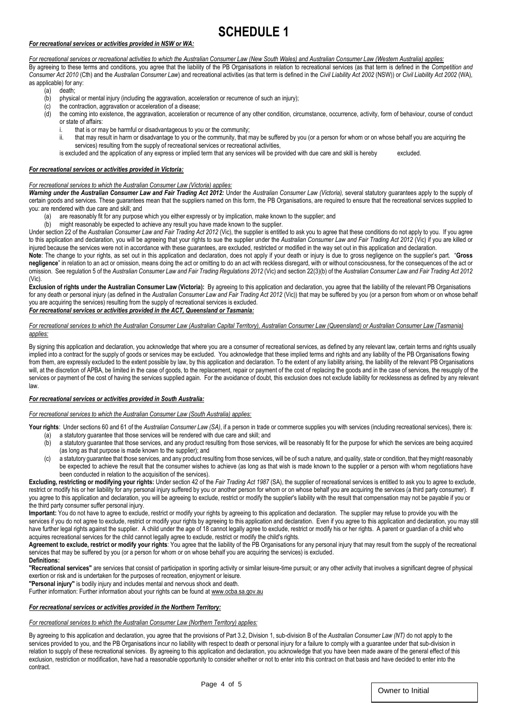## **SCHEDULE 1**

#### *For recreational services or activities provided in NSW or WA:*

*For recreational services or recreational activities to which the Australian Consumer Law (New South Wales) and Australian Consumer Law (Western Australia) applies:*  By agreeing to these terms and conditions, you agree that the liability of the PB Organisations in relation to recreational services (as that term is defined in the *Competition and Consumer Act 2010* (Cth) and the *Australian Consumer Law*) and recreational activities (as that term is defined in the *Civil Liability Act 2002* (NSW)) or *Civil Liability Act 2002* (WA)*,* as applicable) for any:

- (a) death;
- $\overrightarrow{b}$  physical or mental injury (including the aggravation, acceleration or recurrence of such an injury);
- (c) the contraction, aggravation or acceleration of a disease;
- (d) the coming into existence, the aggravation, acceleration or recurrence of any other condition, circumstance, occurrence, activity, form of behaviour, course of conduct or state of affairs:
	- i. that is or may be harmful or disadvantageous to you or the community;
	- ii. that may result in harm or disadvantage to you or the community, that may be suffered by you (or a person for whom or on whose behalf you are acquiring the services) resulting from the supply of recreational services or recreational activities,

is excluded and the application of any express or implied term that any services will be provided with due care and skill is hereby excluded.

#### *For recreational services or activities provided in Victoria:*

#### *For recreational services to which the Australian Consumer Law (Victoria) applies:*

Warning under the Australian Consumer Law and Fair Trading Act 2012: Under the Australian Consumer Law (Victoria), several statutory guarantees apply to the supply of certain goods and services. These guarantees mean that the suppliers named on this form, the PB Organisations, are required to ensure that the recreational services supplied to you: are rendered with due care and skill; and

- (a) are reasonably fit for any purpose which you either expressly or by implication, make known to the supplier; and
- (b) might reasonably be expected to achieve any result you have made known to the supplier.

Under section 22 of the *Australian Consumer Law and Fair Trading Act 2012 (Vic)*, the supplier is entitled to ask you to agree that these conditions do not apply to you. If you agree to this application and declaration, you will be agreeing that your rights to sue the supplier under the *Australian Consumer Law and Fair Trading Act 2012* (Vic) if you are killed or injured because the services were not in accordance with these guarantees, are excluded, restricted or modified in the way set out in this application and declaration.

**Note**: The change to your rights, as set out in this application and declaration, does not apply if your death or injury is due to gross negligence on the supplier's part. "**Gross negligence**" in relation to an act or omission, means doing the act or omitting to do an act with reckless disregard, with or without consciousness, for the consequences of the act or omission. See regulation 5 of the *Australian Consumer Law and Fair Trading Regulations 2012* (Vic) and section 22(3)(b) of the *Australian Consumer Law and Fair Trading Act 2012*  (Vic).

Exclusion of rights under the Australian Consumer Law (Victoria): By agreeing to this application and declaration, you agree that the liability of the relevant PB Organisations for any death or personal injury (as defined in the *Australian Consumer Law and Fair Trading Act 2012* (Vic)) that may be suffered by you (or a person from whom or on whose behalf you are acquiring the services) resulting from the supply of recreational services is excluded.

#### *For recreational services or activities provided in the ACT, Queensland or Tasmania:*

#### *For recreational services to which the Australian Consumer Law (Australian Capital Territory), Australian Consumer Law (Queensland) or Australian Consumer Law (Tasmania) applies:*

By signing this application and declaration, you acknowledge that where you are a consumer of recreational services, as defined by any relevant law, certain terms and rights usually implied into a contract for the supply of goods or services may be excluded. You acknowledge that these implied terms and rights and any liability of the PB Organisations flowing from them, are expressly excluded to the extent possible by law, by this application and declaration. To the extent of any liability arising, the liability of the relevant PB Organisations will, at the discretion of APBA, be limited in the case of goods, to the replacement, repair or payment of the cost of replacing the goods and in the case of services, the resupply of the services or payment of the cost of having the services supplied again. For the avoidance of doubt, this exclusion does not exclude liability for recklessness as defined by any relevant law.

#### *For recreational services or activities provided in South Australia:*

#### *For recreational services to which the Australian Consumer Law (South Australia) applies:*

Your rights: Under sections 60 and 61 of the *Australian Consumer Law (SA)*, if a person in trade or commerce supplies you with services (including recreational services), there is:

- (a) a statutory guarantee that those services will be rendered with due care and skill; and
- (b) a statutory guarantee that those services, and any product resulting from those services, will be reasonably fit for the purpose for which the services are being acquired (as long as that purpose is made known to the supplier); and
- (c) a statutory guarantee that those services, and any product resulting from those services, will be of such a nature, and quality, state or condition, that they might reasonably be expected to achieve the result that the consumer wishes to achieve (as long as that wish is made known to the supplier or a person with whom negotiations have been conducted in relation to the acquisition of the services).

Excluding, restricting or modifying your rights: Under section 42 of the Fair Trading Act 1987 (SA), the supplier of recreational services is entitled to ask you to agree to exclude, restrict or modify his or her liability for any personal injury suffered by you or another person for whom or on whose behalf you are acquiring the services (a third party consumer). If you agree to this application and declaration, you will be agreeing to exclude, restrict or modify the supplier's liability with the result that compensation may not be payable if you or the third party consumer suffer personal injury.

**Important:** You do not have to agree to exclude, restrict or modify your rights by agreeing to this application and declaration. The supplier may refuse to provide you with the services if you do not agree to exclude, restrict or modify your rights by agreeing to this application and declaration. Even if you agree to this application and declaration, you may still have further legal rights against the supplier. A child under the age of 18 cannot legally agree to exclude, restrict or modify his or her rights. A parent or quardian of a child who acquires recreational services for the child cannot legally agree to exclude, restrict or modify the child's rights.

**Agreement to exclude, restrict or modify your rights**: You agree that the liability of the PB Organisations for any personal injury that may result from the supply of the recreational services that may be suffered by you (or a person for whom or on whose behalf you are acquiring the services) is excluded.

#### **Definitions:**

**"Recreational services"** are services that consist of participation in sporting activity or similar leisure-time pursuit; or any other activity that involves a significant degree of physical exertion or risk and is undertaken for the purposes of recreation, enjoyment or leisure.

**"Personal injury"** is bodily injury and includes mental and nervous shock and death.

Further information: Further information about your rights can be found a[t www.ocba.sa.gov.au](http://www.ocba.sa.gov.au/)

#### *For recreational services or activities provided in the Northern Territory:*

#### *For recreational services to which the Australian Consumer Law (Northern Territory) applies:*

By agreeing to this application and declaration, you agree that the provisions of Part 3.2, Division 1, sub-division B of the *Australian Consumer Law (NT)* do not apply to the services provided to you, and the PB Organisations incur no liability with respect to death or personal injury for a failure to comply with a guarantee under that sub-division in relation to supply of these recreational services. By agreeing to this application and declaration, you acknowledge that you have been made aware of the general effect of this exclusion, restriction or modification, have had a reasonable opportunity to consider whether or not to enter into this contract on that basis and have decided to enter into the contract.